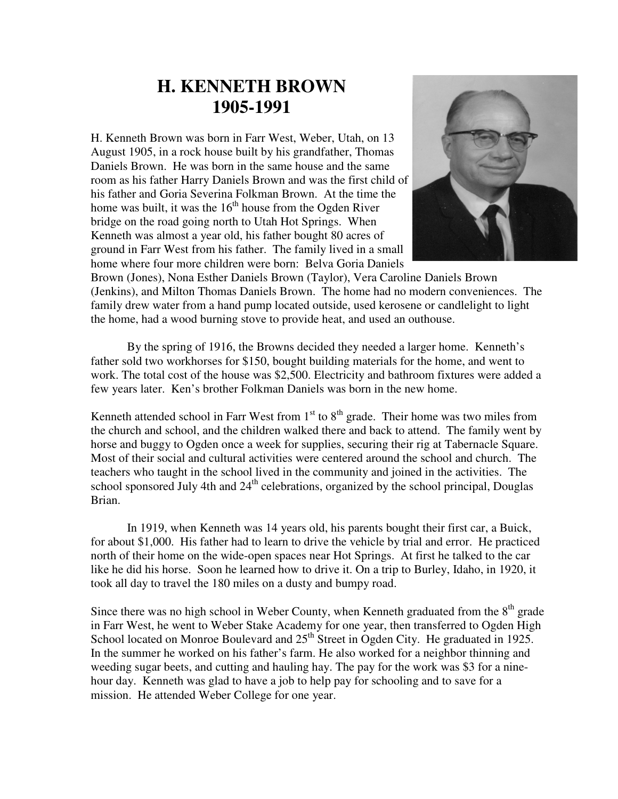## **H. KENNETH BROWN 1905-1991**

H. Kenneth Brown was born in Farr West, Weber, Utah, on 13 August 1905, in a rock house built by his grandfather, Thomas Daniels Brown. He was born in the same house and the same room as his father Harry Daniels Brown and was the first child of his father and Goria Severina Folkman Brown. At the time the home was built, it was the  $16<sup>th</sup>$  house from the Ogden River bridge on the road going north to Utah Hot Springs. When Kenneth was almost a year old, his father bought 80 acres of ground in Farr West from his father. The family lived in a small home where four more children were born: Belva Goria Daniels



Brown (Jones), Nona Esther Daniels Brown (Taylor), Vera Caroline Daniels Brown (Jenkins), and Milton Thomas Daniels Brown. The home had no modern conveniences. The family drew water from a hand pump located outside, used kerosene or candlelight to light the home, had a wood burning stove to provide heat, and used an outhouse.

By the spring of 1916, the Browns decided they needed a larger home. Kenneth's father sold two workhorses for \$150, bought building materials for the home, and went to work. The total cost of the house was \$2,500. Electricity and bathroom fixtures were added a few years later. Ken's brother Folkman Daniels was born in the new home.

Kenneth attended school in Farr West from  $1<sup>st</sup>$  to  $8<sup>th</sup>$  grade. Their home was two miles from the church and school, and the children walked there and back to attend. The family went by horse and buggy to Ogden once a week for supplies, securing their rig at Tabernacle Square. Most of their social and cultural activities were centered around the school and church. The teachers who taught in the school lived in the community and joined in the activities. The school sponsored July 4th and  $24<sup>th</sup>$  celebrations, organized by the school principal, Douglas Brian.

In 1919, when Kenneth was 14 years old, his parents bought their first car, a Buick, for about \$1,000. His father had to learn to drive the vehicle by trial and error. He practiced north of their home on the wide-open spaces near Hot Springs. At first he talked to the car like he did his horse. Soon he learned how to drive it. On a trip to Burley, Idaho, in 1920, it took all day to travel the 180 miles on a dusty and bumpy road.

Since there was no high school in Weber County, when Kenneth graduated from the  $8<sup>th</sup>$  grade in Farr West, he went to Weber Stake Academy for one year, then transferred to Ogden High School located on Monroe Boulevard and 25<sup>th</sup> Street in Ogden City. He graduated in 1925. In the summer he worked on his father's farm. He also worked for a neighbor thinning and weeding sugar beets, and cutting and hauling hay. The pay for the work was \$3 for a ninehour day. Kenneth was glad to have a job to help pay for schooling and to save for a mission. He attended Weber College for one year.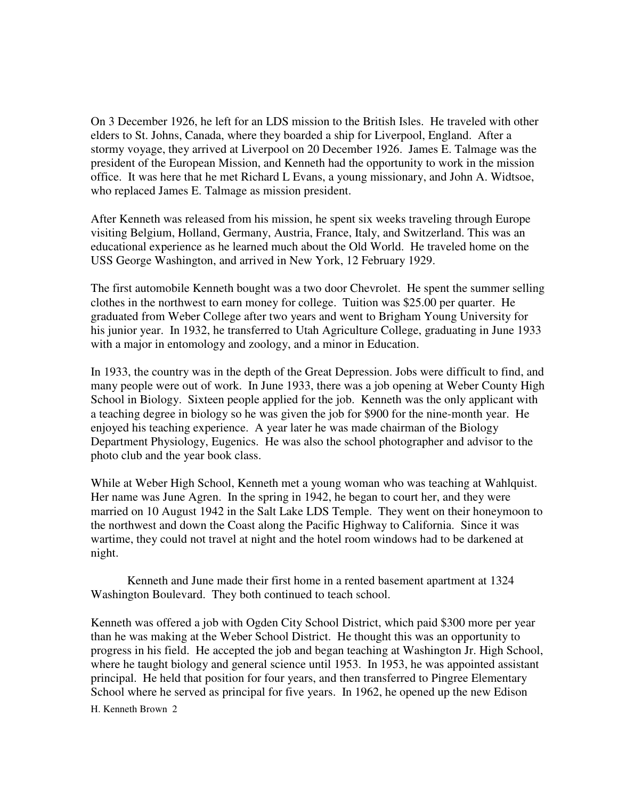On 3 December 1926, he left for an LDS mission to the British Isles. He traveled with other elders to St. Johns, Canada, where they boarded a ship for Liverpool, England. After a stormy voyage, they arrived at Liverpool on 20 December 1926. James E. Talmage was the president of the European Mission, and Kenneth had the opportunity to work in the mission office. It was here that he met Richard L Evans, a young missionary, and John A. Widtsoe, who replaced James E. Talmage as mission president.

After Kenneth was released from his mission, he spent six weeks traveling through Europe visiting Belgium, Holland, Germany, Austria, France, Italy, and Switzerland. This was an educational experience as he learned much about the Old World. He traveled home on the USS George Washington, and arrived in New York, 12 February 1929.

The first automobile Kenneth bought was a two door Chevrolet. He spent the summer selling clothes in the northwest to earn money for college. Tuition was \$25.00 per quarter. He graduated from Weber College after two years and went to Brigham Young University for his junior year. In 1932, he transferred to Utah Agriculture College, graduating in June 1933 with a major in entomology and zoology, and a minor in Education.

In 1933, the country was in the depth of the Great Depression. Jobs were difficult to find, and many people were out of work. In June 1933, there was a job opening at Weber County High School in Biology. Sixteen people applied for the job. Kenneth was the only applicant with a teaching degree in biology so he was given the job for \$900 for the nine-month year. He enjoyed his teaching experience. A year later he was made chairman of the Biology Department Physiology, Eugenics. He was also the school photographer and advisor to the photo club and the year book class.

While at Weber High School, Kenneth met a young woman who was teaching at Wahlquist. Her name was June Agren. In the spring in 1942, he began to court her, and they were married on 10 August 1942 in the Salt Lake LDS Temple. They went on their honeymoon to the northwest and down the Coast along the Pacific Highway to California. Since it was wartime, they could not travel at night and the hotel room windows had to be darkened at night.

Kenneth and June made their first home in a rented basement apartment at 1324 Washington Boulevard. They both continued to teach school.

H. Kenneth Brown 2 Kenneth was offered a job with Ogden City School District, which paid \$300 more per year than he was making at the Weber School District. He thought this was an opportunity to progress in his field. He accepted the job and began teaching at Washington Jr. High School, where he taught biology and general science until 1953. In 1953, he was appointed assistant principal. He held that position for four years, and then transferred to Pingree Elementary School where he served as principal for five years. In 1962, he opened up the new Edison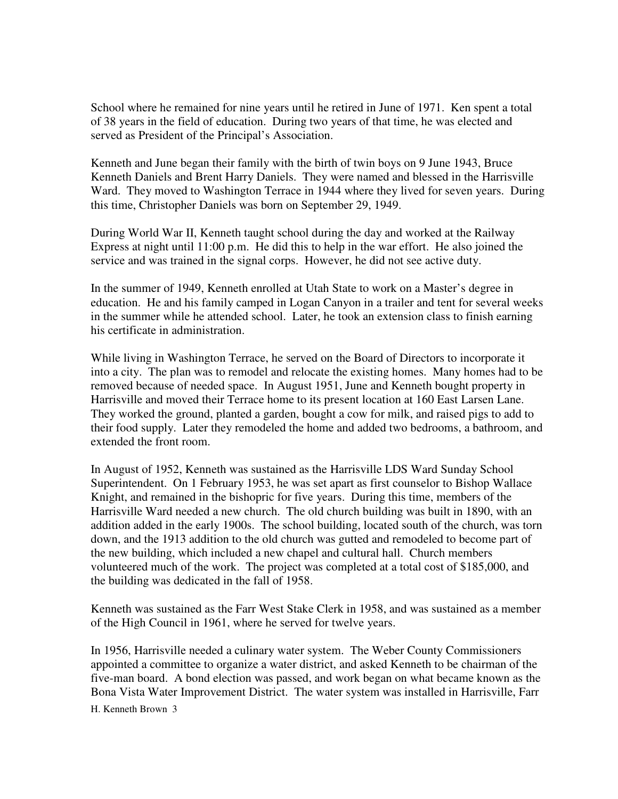School where he remained for nine years until he retired in June of 1971. Ken spent a total of 38 years in the field of education. During two years of that time, he was elected and served as President of the Principal's Association.

Kenneth and June began their family with the birth of twin boys on 9 June 1943, Bruce Kenneth Daniels and Brent Harry Daniels. They were named and blessed in the Harrisville Ward. They moved to Washington Terrace in 1944 where they lived for seven years. During this time, Christopher Daniels was born on September 29, 1949.

During World War II, Kenneth taught school during the day and worked at the Railway Express at night until 11:00 p.m. He did this to help in the war effort. He also joined the service and was trained in the signal corps. However, he did not see active duty.

In the summer of 1949, Kenneth enrolled at Utah State to work on a Master's degree in education. He and his family camped in Logan Canyon in a trailer and tent for several weeks in the summer while he attended school. Later, he took an extension class to finish earning his certificate in administration.

While living in Washington Terrace, he served on the Board of Directors to incorporate it into a city. The plan was to remodel and relocate the existing homes. Many homes had to be removed because of needed space. In August 1951, June and Kenneth bought property in Harrisville and moved their Terrace home to its present location at 160 East Larsen Lane. They worked the ground, planted a garden, bought a cow for milk, and raised pigs to add to their food supply. Later they remodeled the home and added two bedrooms, a bathroom, and extended the front room.

In August of 1952, Kenneth was sustained as the Harrisville LDS Ward Sunday School Superintendent. On 1 February 1953, he was set apart as first counselor to Bishop Wallace Knight, and remained in the bishopric for five years. During this time, members of the Harrisville Ward needed a new church. The old church building was built in 1890, with an addition added in the early 1900s. The school building, located south of the church, was torn down, and the 1913 addition to the old church was gutted and remodeled to become part of the new building, which included a new chapel and cultural hall. Church members volunteered much of the work. The project was completed at a total cost of \$185,000, and the building was dedicated in the fall of 1958.

Kenneth was sustained as the Farr West Stake Clerk in 1958, and was sustained as a member of the High Council in 1961, where he served for twelve years.

H. Kenneth Brown 3 In 1956, Harrisville needed a culinary water system. The Weber County Commissioners appointed a committee to organize a water district, and asked Kenneth to be chairman of the five-man board. A bond election was passed, and work began on what became known as the Bona Vista Water Improvement District. The water system was installed in Harrisville, Farr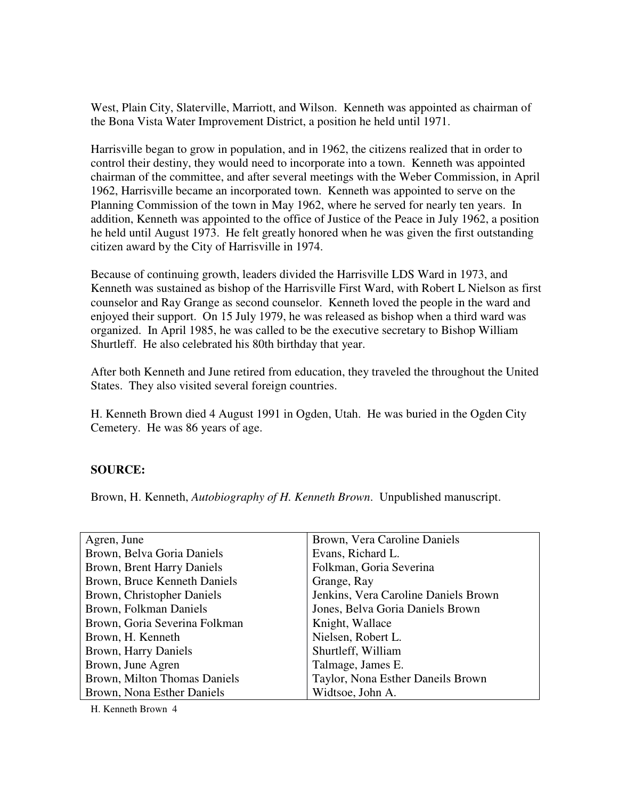West, Plain City, Slaterville, Marriott, and Wilson. Kenneth was appointed as chairman of the Bona Vista Water Improvement District, a position he held until 1971.

Harrisville began to grow in population, and in 1962, the citizens realized that in order to control their destiny, they would need to incorporate into a town. Kenneth was appointed chairman of the committee, and after several meetings with the Weber Commission, in April 1962, Harrisville became an incorporated town. Kenneth was appointed to serve on the Planning Commission of the town in May 1962, where he served for nearly ten years. In addition, Kenneth was appointed to the office of Justice of the Peace in July 1962, a position he held until August 1973. He felt greatly honored when he was given the first outstanding citizen award by the City of Harrisville in 1974.

Because of continuing growth, leaders divided the Harrisville LDS Ward in 1973, and Kenneth was sustained as bishop of the Harrisville First Ward, with Robert L Nielson as first counselor and Ray Grange as second counselor. Kenneth loved the people in the ward and enjoyed their support. On 15 July 1979, he was released as bishop when a third ward was organized. In April 1985, he was called to be the executive secretary to Bishop William Shurtleff. He also celebrated his 80th birthday that year.

After both Kenneth and June retired from education, they traveled the throughout the United States. They also visited several foreign countries.

H. Kenneth Brown died 4 August 1991 in Ogden, Utah. He was buried in the Ogden City Cemetery. He was 86 years of age.

## **SOURCE:**

Brown, H. Kenneth, *Autobiography of H. Kenneth Brown*. Unpublished manuscript.

| Agren, June                   | Brown, Vera Caroline Daniels         |
|-------------------------------|--------------------------------------|
| Brown, Belva Goria Daniels    | Evans, Richard L.                    |
| Brown, Brent Harry Daniels    | Folkman, Goria Severina              |
| Brown, Bruce Kenneth Daniels  | Grange, Ray                          |
| Brown, Christopher Daniels    | Jenkins, Vera Caroline Daniels Brown |
| Brown, Folkman Daniels        | Jones, Belva Goria Daniels Brown     |
| Brown, Goria Severina Folkman | Knight, Wallace                      |
| Brown, H. Kenneth             | Nielsen, Robert L.                   |
| Brown, Harry Daniels          | Shurtleff, William                   |
| Brown, June Agren             | Talmage, James E.                    |
| Brown, Milton Thomas Daniels  | Taylor, Nona Esther Daneils Brown    |
| Brown, Nona Esther Daniels    | Widtsoe, John A.                     |

H. Kenneth Brown 4